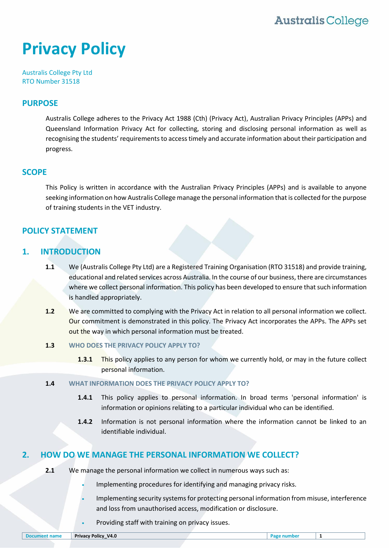# **Privacy Policy**

Australis College Pty Ltd RTO Number 31518

### **PURPOSE**

Australis College adheres to the Privacy Act 1988 (Cth) (Privacy Act), Australian Privacy Principles (APPs) and Queensland Information Privacy Act for collecting, storing and disclosing personal information as well as recognising the students' requirements to access timely and accurate information about their participation and progress.

#### **SCOPE**

This Policy is written in accordance with the Australian Privacy Principles (APPs) and is available to anyone seeking information on how Australis College manage the personal information that is collected for the purpose of training students in the VET industry.

## **POLICY STATEMENT**

# **1. INTRODUCTION**

- **1.1** We (Australis College Pty Ltd) are a Registered Training Organisation (RTO 31518) and provide training, educational and related services across Australia. In the course of our business, there are circumstances where we collect personal information. This policy has been developed to ensure that such information is handled appropriately.
- **1.2** We are committed to complying with the Privacy Act in relation to all personal information we collect. Our commitment is demonstrated in this policy. The Privacy Act incorporates the APPs. The APPs set out the way in which personal information must be treated.
- **1.3 WHO DOES THE PRIVACY POLICY APPLY TO?**
	- **1.3.1** This policy applies to any person for whom we currently hold, or may in the future collect personal information.
- **1.4 WHAT INFORMATION DOES THE PRIVACY POLICY APPLY TO?**
	- **1.4.1** This policy applies to personal information. In broad terms 'personal information' is information or opinions relating to a particular individual who can be identified.
	- **1.4.2** Information is not personal information where the information cannot be linked to an identifiable individual.

## **2. HOW DO WE MANAGE THE PERSONAL INFORMATION WE COLLECT?**

- **2.1** We manage the personal information we collect in numerous ways such as:
	- Implementing procedures for identifying and managing privacy risks.
	- Implementing security systems for protecting personal information from misuse, interference and loss from unauthorised access, modification or disclosure.
	- Providing staff with training on privacy issues.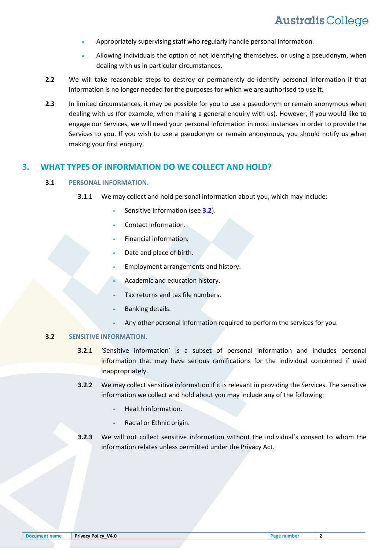- Appropriately supervising staff who regularly handle personal information.
- Allowing individuals the option of not identifying themselves, or using a pseudonym, when dealing with us in particular circumstances.
- **2.2** We will take reasonable steps to destroy or permanently de-identify personal information if that information is no longer needed for the purposes for which we are authorised to use it.
- **2.3** In limited circumstances, it may be possible for you to use a pseudonym or remain anonymous when dealing with us (for example, when making a general enquiry with us). However, if you would like to engage our Services, we will need your personal information in most instances in order to provide the Services to you. If you wish to use a pseudonym or remain anonymous, you should notify us when making your first enquiry.

#### **3. WHAT TYPES OF INFORMATION DO WE COLLECT AND HOLD?**

#### **3.1 PERSONAL INFORMATION.**

- **3.1.1** We may collect and hold personal information about you, which may include:
	- Sensitive information (see **[3.2](#page-1-0)**).
	- Contact information.
	- Financial information.
	- Date and place of birth.
	- Employment arrangements and history.
	- Academic and education history.
	- Tax returns and tax file numbers.
	- Banking details.
	- Any other personal information required to perform the services for you.

#### <span id="page-1-0"></span>**3.2 SENSITIVE INFORMATION.**

- **3.2.1** 'Sensitive information' is a subset of personal information and includes personal information that may have serious ramifications for the individual concerned if used inappropriately.
- **3.2.2** We may collect sensitive information if it is relevant in providing the Services. The sensitive information we collect and hold about you may include any of the following:
	- Health information.
	- Racial or Ethnic origin.
- **3.2.3** We will not collect sensitive information without the individual's consent to whom the information relates unless permitted under the Privacy Act.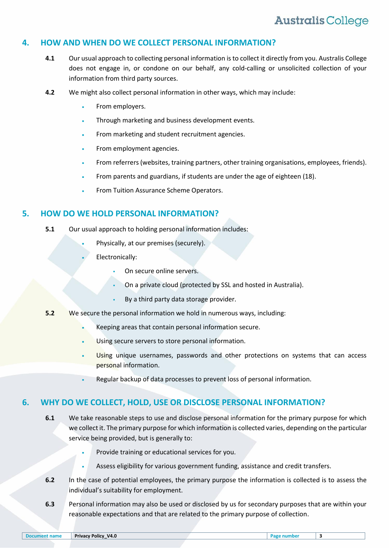### **4. HOW AND WHEN DO WE COLLECT PERSONAL INFORMATION?**

- **4.1** Our usual approach to collecting personal information is to collect it directly from you. Australis College does not engage in, or condone on our behalf, any cold-calling or unsolicited collection of your information from third party sources.
- **4.2** We might also collect personal information in other ways, which may include:
	- From employers.
	- Through marketing and business development events.
	- From marketing and student recruitment agencies.
	- From employment agencies.
	- From referrers (websites, training partners, other training organisations, employees, friends).
	- From parents and guardians, if students are under the age of eighteen (18).
	- From Tuition Assurance Scheme Operators.

#### **5. HOW DO WE HOLD PERSONAL INFORMATION?**

- **5.1** Our usual approach to holding personal information includes:
	- Physically, at our premises (securely).
	- Electronically:
		- On secure online servers.
		- On a private cloud (protected by SSL and hosted in Australia).
		- By a third party data storage provider.
- **5.2** We secure the personal information we hold in numerous ways, including:
	- Keeping areas that contain personal information secure.
	- Using secure servers to store personal information.
	- Using unique usernames, passwords and other protections on systems that can access personal information.
	- Regular backup of data processes to prevent loss of personal information.

#### **6. WHY DO WE COLLECT, HOLD, USE OR DISCLOSE PERSONAL INFORMATION?**

- **6.1** We take reasonable steps to use and disclose personal information for the primary purpose for which we collect it. The primary purpose for which information is collected varies, depending on the particular service being provided, but is generally to:
	- Provide training or educational services for you.
	- Assess eligibility for various government funding, assistance and credit transfers.
- **6.2** In the case of potential employees, the primary purpose the information is collected is to assess the individual's suitability for employment.
- **6.3** Personal information may also be used or disclosed by us for secondary purposes that are within your reasonable expectations and that are related to the primary purpose of collection.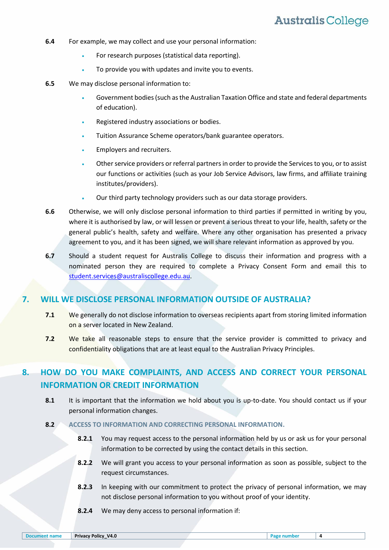- **6.4** For example, we may collect and use your personal information:
	- For research purposes (statistical data reporting).
	- To provide you with updates and invite you to events.
- **6.5** We may disclose personal information to:
	- Government bodies (such as the Australian Taxation Office and state and federal departments of education).
	- **Registered industry associations or bodies.**
	- Tuition Assurance Scheme operators/bank guarantee operators.
	- Employers and recruiters.
	- Other service providers or referral partners in order to provide the Services to you, or to assist our functions or activities (such as your Job Service Advisors, law firms, and affiliate training institutes/providers).
	- Our third party technology providers such as our data storage providers.
- **6.6** Otherwise, we will only disclose personal information to third parties if permitted in writing by you, where it is authorised by law, or will lessen or prevent a serious threat to your life, health, safety or the general public's health, safety and welfare. Where any other organisation has presented a privacy agreement to you, and it has been signed, we will share relevant information as approved by you.
- **6.7** Should a student request for Australis College to discuss their information and progress with a nominated person they are required to complete a Privacy Consent Form and email this to [student.services@australiscollege.edu.au.](mailto:student.services@australiscollege.edu.au)

## **7. WILL WE DISCLOSE PERSONAL INFORMATION OUTSIDE OF AUSTRALIA?**

- **7.1** We generally do not disclose information to overseas recipients apart from storing limited information on a server located in New Zealand.
- **7.2** We take all reasonable steps to ensure that the service provider is committed to privacy and confidentiality obligations that are at least equal to the Australian Privacy Principles.

# **8. HOW DO YOU MAKE COMPLAINTS, AND ACCESS AND CORRECT YOUR PERSONAL INFORMATION OR CREDIT INFORMATION**

**8.1** It is important that the information we hold about you is up-to-date. You should contact us if your personal information changes.

#### **8.2 ACCESS TO INFORMATION AND CORRECTING PERSONAL INFORMATION.**

- **8.2.1** You may request access to the personal information held by us or ask us for your personal information to be corrected by using the contact details in this section.
- **8.2.2** We will grant you access to your personal information as soon as possible, subject to the request circumstances.
- **8.2.3** In keeping with our commitment to protect the privacy of personal information, we may not disclose personal information to you without proof of your identity.
- **8.2.4** We may deny access to personal information if: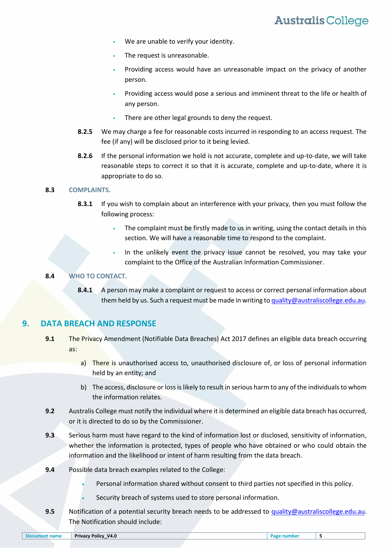- We are unable to verify your identity.
- The request is unreasonable.
- Providing access would have an unreasonable impact on the privacy of another person.
- Providing access would pose a serious and imminent threat to the life or health of any person.
- There are other legal grounds to deny the request.
- **8.2.5** We may charge a fee for reasonable costs incurred in responding to an access request. The fee (if any) will be disclosed prior to it being levied.
- **8.2.6** If the personal information we hold is not accurate, complete and up-to-date, we will take reasonable steps to correct it so that it is accurate, complete and up-to-date, where it is appropriate to do so.

#### **8.3 COMPLAINTS.**

- **8.3.1** If you wish to complain about an interference with your privacy, then you must follow the following process:
	- The complaint must be firstly made to us in writing, using the contact details in this section. We will have a reasonable time to respond to the complaint.
	- In the unlikely event the privacy issue cannot be resolved, you may take your complaint to the Office of the Australian Information Commissioner.

#### **8.4 WHO TO CONTACT.**

**8.4.1** A person may make a complaint or request to access or correct personal information about them held by us. Such a request must be made in writing t[o quality@australiscollege.edu.au.](mailto:quality@australiscollege.edu.au)

#### **9. DATA BREACH AND RESPONSE**

- **9.1** The Privacy Amendment (Notifiable Data Breaches) Act 2017 defines an eligible data breach occurring as:
	- a) There is unauthorised access to, unauthorised disclosure of, or loss of personal information held by an entity; and
	- b) The access, disclosure or loss is likely to result in serious harm to any of the individuals to whom the information relates.
- **9.2** Australis College must notify the individual where it is determined an eligible data breach has occurred, or it is directed to do so by the Commissioner.
- <span id="page-4-0"></span>**9.3** Serious harm must have regard to the kind of information lost or disclosed, sensitivity of information, whether the information is protected, types of people who have obtained or who could obtain the information and the likelihood or intent of harm resulting from the data breach.
- **9.4** Possible data breach examples related to the College:
	- Personal information shared without consent to third parties not specified in this policy.
	- Security breach of systems used to store personal information.
- **9.5** Notification of a potential security breach needs to be addressed to [quality@australiscollege.edu.au.](mailto:quality@australiscollege.edu.au) The Notification should include: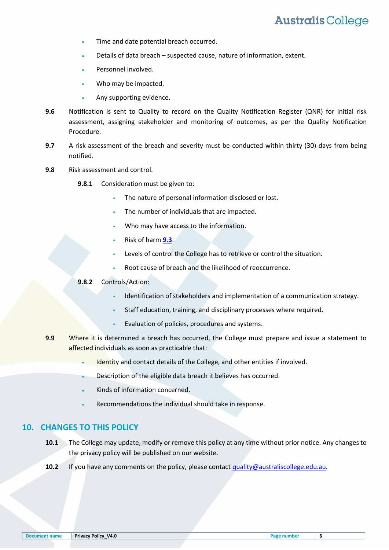- Time and date potential breach occurred.
- Details of data breach suspected cause, nature of information, extent.
- Personnel involved.
- Who may be impacted.
- Any supporting evidence.
- **9.6** Notification is sent to Quality to record on the Quality Notification Register (QNR) for initial risk assessment, assigning stakeholder and monitoring of outcomes, as per the Quality Notification Procedure.
- **9.7** A risk assessment of the breach and severity must be conducted within thirty (30) days from being notified.
- **9.8** Risk assessment and control.
	- **9.8.1** Consideration must be given to:
		- The nature of personal information disclosed or lost.
		- The number of individuals that are impacted.
		- Who may have access to the information.
		- Risk of harm **[9.3](#page-4-0)**.
		- Levels of control the College has to retrieve or control the situation.
		- Root cause of breach and the likelihood of reoccurrence.

#### **9.8.2** Controls/Action:

- Identification of stakeholders and implementation of a communication strategy.
- Staff education, training, and disciplinary processes where required.
- Evaluation of policies, procedures and systems.
- **9.9** Where it is determined a breach has occurred, the College must prepare and issue a statement to affected individuals as soon as practicable that:
	- Identity and contact details of the College, and other entities if involved.
	- Description of the eligible data breach it believes has occurred.
	- Kinds of information concerned.
	- Recommendations the individual should take in response.

#### **10. CHANGES TO THIS POLICY**

- **10.1** The College may update, modify or remove this policy at any time without prior notice. Any changes to the privacy policy will be published on our website.
- **10.2** If you have any comments on the policy, please contac[t quality@australiscollege.edu.au.](mailto:quality@australiscollege.edu.au)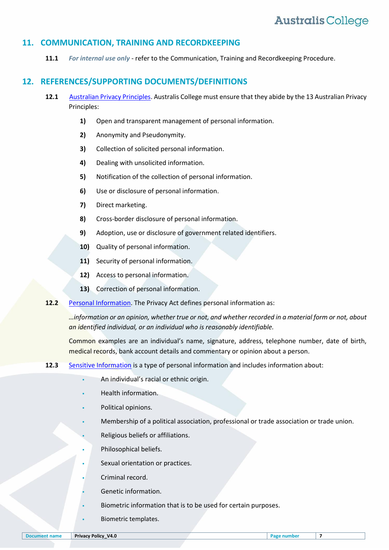#### **11. COMMUNICATION, TRAINING AND RECORDKEEPING**

**11.1** *For internal use only* - refer to the Communication, Training and Recordkeeping Procedure.

### **12. REFERENCES/SUPPORTING DOCUMENTS/DEFINITIONS**

- **12.1** [Australian Privacy Principles.](http://www.oaic.gov.au/privacy/privacy-act/australian-privacy-principles) Australis College must ensure that they abide by the 13 Australian Privacy Principles:
	- **1)** Open and transparent management of personal information.
	- **2)** Anonymity and Pseudonymity.
	- **3)** Collection of solicited personal information.
	- **4)** Dealing with unsolicited information.
	- **5)** Notification of the collection of personal information.
	- **6)** Use or disclosure of personal information.
	- **7)** Direct marketing.
	- **8)** Cross-border disclosure of personal information.
	- **9)** Adoption, use or disclosure of government related identifiers.
	- **10)** Quality of personal information.
	- **11)** Security of personal information.
	- **12)** Access to personal information.
	- **13)** Correction of personal information.
- **12.2** [Personal Information.](http://www.oaic.gov.au/privacy/what-is-covered-by-privacy) The Privacy Act defines personal information as:

*…information or an opinion, whether true or not, and whether recorded in a material form or not, about an identified individual, or an individual who is reasonably identifiable.*

Common examples are an individual's name, signature, address, telephone number, date of birth, medical records, bank account details and commentary or opinion about a person.

- **12.3** [Sensitive Information](http://www.oaic.gov.au/privacy/what-is-covered-by-privacy) is a type of personal information and includes information about:
	- An individual's racial or ethnic origin.
	- Health information.
	- Political opinions.
	- Membership of a political association, professional or trade association or trade union.
	- Religious beliefs or affiliations.
	- Philosophical beliefs.
	- Sexual orientation or practices.
	- Criminal record.
	- Genetic information.
	- Biometric information that is to be used for certain purposes.
	- Biometric templates.